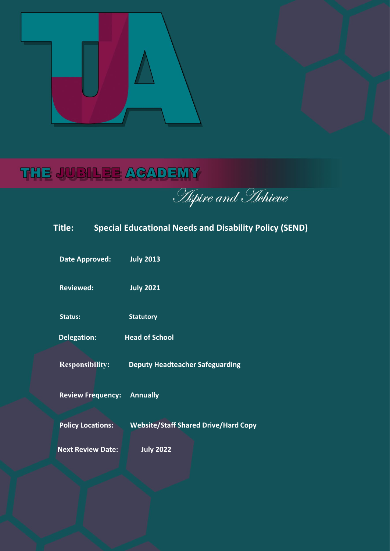

# THE JUBILEE ACADEMY

**Aspire and Hehieve** 

| Title:                   | <b>Special Educational Needs and Disability Policy (SEND)</b> |
|--------------------------|---------------------------------------------------------------|
| <b>Date Approved:</b>    | <b>July 2013</b>                                              |
| <b>Reviewed:</b>         | <b>July 2021</b>                                              |
| <b>Status:</b>           | <b>Statutory</b>                                              |
| <b>Delegation:</b>       | <b>Head of School</b>                                         |
| <b>Responsibility:</b>   | <b>Deputy Headteacher Safeguarding</b>                        |
| <b>Review Frequency:</b> | <b>Annually</b>                                               |
| <b>Policy Locations:</b> | <b>Website/Staff Shared Drive/Hard Copy</b>                   |
| <b>Next Review Date:</b> | <b>July 2022</b>                                              |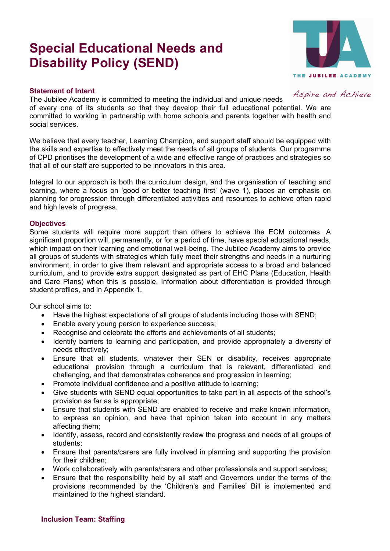# **Special Educational Needs and Disability Policy (SEND)**



#### **Statement of Intent**

Aspire and Achieve

The Jubilee Academy is committed to meeting the individual and unique needs of every one of its students so that they develop their full educational potential. We are committed to working in partnership with home schools and parents together with health and social services.

We believe that every teacher, Learning Champion, and support staff should be equipped with the skills and expertise to effectively meet the needs of all groups of students. Our programme of CPD prioritises the development of a wide and effective range of practices and strategies so that all of our staff are supported to be innovators in this area.

Integral to our approach is both the curriculum design, and the organisation of teaching and learning, where a focus on 'good or better teaching first' (wave 1), places an emphasis on planning for progression through differentiated activities and resources to achieve often rapid and high levels of progress.

#### **Objectives**

Some students will require more support than others to achieve the ECM outcomes. A significant proportion will, permanently, or for a period of time, have special educational needs, which impact on their learning and emotional well-being. The Jubilee Academy aims to provide all groups of students with strategies which fully meet their strengths and needs in a nurturing environment, in order to give them relevant and appropriate access to a broad and balanced curriculum, and to provide extra support designated as part of EHC Plans (Education, Health and Care Plans) when this is possible. Information about differentiation is provided through student profiles, and in Appendix 1.

Our school aims to:

- Have the highest expectations of all groups of students including those with SEND;
- Enable every young person to experience success;
- Recognise and celebrate the efforts and achievements of all students;
- Identify barriers to learning and participation, and provide appropriately a diversity of needs effectively;
- Ensure that all students, whatever their SEN or disability, receives appropriate educational provision through a curriculum that is relevant, differentiated and challenging, and that demonstrates coherence and progression in learning;
- Promote individual confidence and a positive attitude to learning;
- Give students with SEND equal opportunities to take part in all aspects of the school's provision as far as is appropriate;
- Ensure that students with SEND are enabled to receive and make known information, to express an opinion, and have that opinion taken into account in any matters affecting them;
- Identify, assess, record and consistently review the progress and needs of all groups of students;
- Ensure that parents/carers are fully involved in planning and supporting the provision for their children;
- Work collaboratively with parents/carers and other professionals and support services;
- Ensure that the responsibility held by all staff and Governors under the terms of the provisions recommended by the 'Children's and Families' Bill is implemented and maintained to the highest standard.

# **Inclusion Team: Staffing**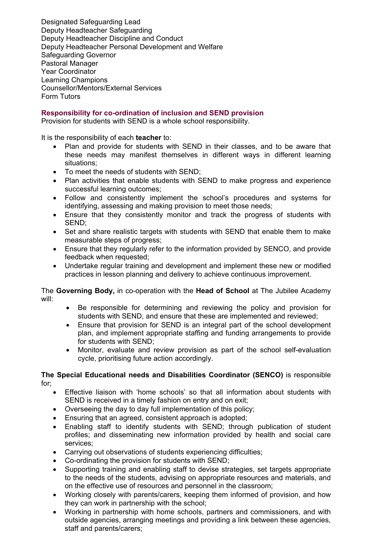Designated Safeguarding Lead Deputy Headteacher Safeguarding Deputy Headteacher Discipline and Conduct Deputy Headteacher Personal Development and Welfare Safeguarding Governor Pastoral Manager Year Coordinator Learning Champions Counsellor/Mentors/External Services Form Tutors

#### **Responsibility for co-ordination of inclusion and SEND provision**

Provision for students with SEND is a whole school responsibility.

It is the responsibility of each **teacher** to:

- Plan and provide for students with SEND in their classes, and to be aware that these needs may manifest themselves in different ways in different learning situations;
- To meet the needs of students with SEND;
- Plan activities that enable students with SEND to make progress and experience successful learning outcomes;
- Follow and consistently implement the school's procedures and systems for identifying, assessing and making provision to meet those needs;
- Ensure that they consistently monitor and track the progress of students with SEND;
- Set and share realistic targets with students with SEND that enable them to make measurable steps of progress;
- Ensure that they regularly refer to the information provided by SENCO, and provide feedback when requested;
- Undertake regular training and development and implement these new or modified practices in lesson planning and delivery to achieve continuous improvement.

The **Governing Body,** in co-operation with the **Head of School** at The Jubilee Academy will:

- Be responsible for determining and reviewing the policy and provision for students with SEND, and ensure that these are implemented and reviewed;
- Ensure that provision for SEND is an integral part of the school development plan, and implement appropriate staffing and funding arrangements to provide for students with SEND;
- Monitor, evaluate and review provision as part of the school self-evaluation cycle, prioritising future action accordingly.

#### **The Special Educational needs and Disabilities Coordinator (SENCO)** is responsible for;

- Effective liaison with 'home schools' so that all information about students with SEND is received in a timely fashion on entry and on exit;
- Overseeing the day to day full implementation of this policy;
- Ensuring that an agreed, consistent approach is adopted;
- Enabling staff to identify students with SEND; through publication of student profiles; and disseminating new information provided by health and social care services;
- Carrying out observations of students experiencing difficulties;
- Co-ordinating the provision for students with SEND;
- Supporting training and enabling staff to devise strategies, set targets appropriate to the needs of the students, advising on appropriate resources and materials, and on the effective use of resources and personnel in the classroom;
- Working closely with parents/carers, keeping them informed of provision, and how they can work in partnership with the school;
- Working in partnership with home schools, partners and commissioners, and with outside agencies, arranging meetings and providing a link between these agencies, staff and parents/carers;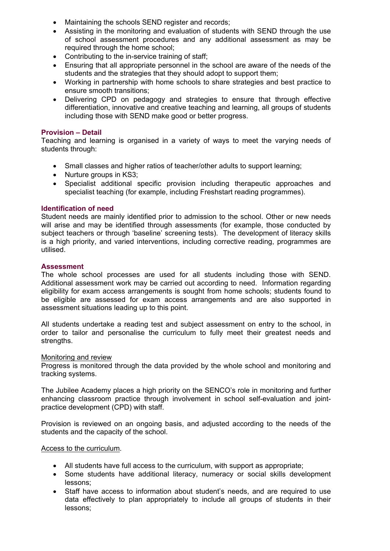- Maintaining the schools SEND register and records;
- Assisting in the monitoring and evaluation of students with SEND through the use of school assessment procedures and any additional assessment as may be required through the home school;
- Contributing to the in-service training of staff;
- Ensuring that all appropriate personnel in the school are aware of the needs of the students and the strategies that they should adopt to support them;
- Working in partnership with home schools to share strategies and best practice to ensure smooth transitions;
- Delivering CPD on pedagogy and strategies to ensure that through effective differentiation, innovative and creative teaching and learning, all groups of students including those with SEND make good or better progress.

# **Provision – Detail**

Teaching and learning is organised in a variety of ways to meet the varying needs of students through:

- Small classes and higher ratios of teacher/other adults to support learning;
- Nurture groups in KS3:
- Specialist additional specific provision including therapeutic approaches and specialist teaching (for example, including Freshstart reading programmes).

#### **Identification of need**

Student needs are mainly identified prior to admission to the school. Other or new needs will arise and may be identified through assessments (for example, those conducted by subject teachers or through 'baseline' screening tests). The development of literacy skills is a high priority, and varied interventions, including corrective reading, programmes are utilised.

#### **Assessment**

The whole school processes are used for all students including those with SEND. Additional assessment work may be carried out according to need. Information regarding eligibility for exam access arrangements is sought from home schools; students found to be eligible are assessed for exam access arrangements and are also supported in assessment situations leading up to this point.

All students undertake a reading test and subject assessment on entry to the school, in order to tailor and personalise the curriculum to fully meet their greatest needs and strengths.

#### Monitoring and review

Progress is monitored through the data provided by the whole school and monitoring and tracking systems.

The Jubilee Academy places a high priority on the SENCO's role in monitoring and further enhancing classroom practice through involvement in school self-evaluation and jointpractice development (CPD) with staff.

Provision is reviewed on an ongoing basis, and adjusted according to the needs of the students and the capacity of the school.

#### Access to the curriculum.

- All students have full access to the curriculum, with support as appropriate;
- Some students have additional literacy, numeracy or social skills development lessons;
- Staff have access to information about student's needs, and are required to use data effectively to plan appropriately to include all groups of students in their lessons;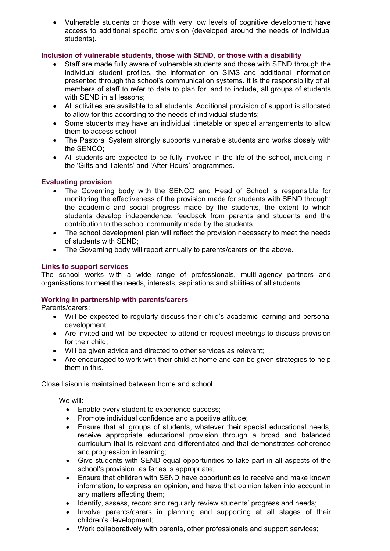• Vulnerable students or those with very low levels of cognitive development have access to additional specific provision (developed around the needs of individual students).

# **Inclusion of vulnerable students, those with SEND, or those with a disability**

- Staff are made fully aware of vulnerable students and those with SEND through the individual student profiles, the information on SIMS and additional information presented through the school's communication systems. It is the responsibility of all members of staff to refer to data to plan for, and to include, all groups of students with SEND in all lessons;
- All activities are available to all students. Additional provision of support is allocated to allow for this according to the needs of individual students;
- Some students may have an individual timetable or special arrangements to allow them to access school;
- The Pastoral System strongly supports vulnerable students and works closely with the SENCO;
- All students are expected to be fully involved in the life of the school, including in the 'Gifts and Talents' and 'After Hours' programmes.

# **Evaluating provision**

- The Governing body with the SENCO and Head of School is responsible for monitoring the effectiveness of the provision made for students with SEND through: the academic and social progress made by the students, the extent to which students develop independence, feedback from parents and students and the contribution to the school community made by the students.
- The school development plan will reflect the provision necessary to meet the needs of students with SEND;
- The Governing body will report annually to parents/carers on the above.

# **Links to support services**

The school works with a wide range of professionals, multi-agency partners and organisations to meet the needs, interests, aspirations and abilities of all students.

# **Working in partnership with parents/carers**

Parents/carers:

- Will be expected to regularly discuss their child's academic learning and personal development;
- Are invited and will be expected to attend or request meetings to discuss provision for their child;
- Will be given advice and directed to other services as relevant;
- Are encouraged to work with their child at home and can be given strategies to help them in this.

Close liaison is maintained between home and school.

We will:

- Enable every student to experience success;
- Promote individual confidence and a positive attitude;
- Ensure that all groups of students, whatever their special educational needs, receive appropriate educational provision through a broad and balanced curriculum that is relevant and differentiated and that demonstrates coherence and progression in learning;
- Give students with SEND equal opportunities to take part in all aspects of the school's provision, as far as is appropriate;
- Ensure that children with SEND have opportunities to receive and make known information, to express an opinion, and have that opinion taken into account in any matters affecting them;
- Identify, assess, record and regularly review students' progress and needs;
- Involve parents/carers in planning and supporting at all stages of their children's development;
- Work collaboratively with parents, other professionals and support services;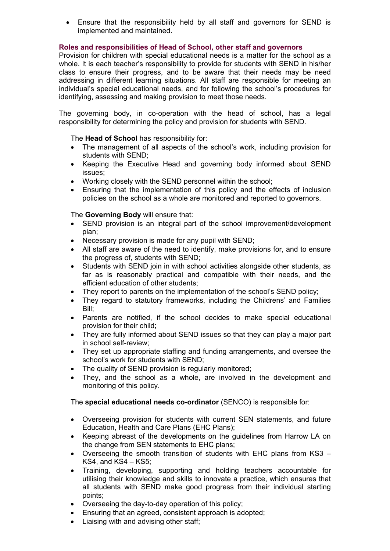• Ensure that the responsibility held by all staff and governors for SEND is implemented and maintained.

# **Roles and responsibilities of Head of School, other staff and governors**

Provision for children with special educational needs is a matter for the school as a whole. It is each teacher's responsibility to provide for students with SEND in his/her class to ensure their progress, and to be aware that their needs may be need addressing in different learning situations. All staff are responsible for meeting an individual's special educational needs, and for following the school's procedures for identifying, assessing and making provision to meet those needs.

The governing body, in co-operation with the head of school, has a legal responsibility for determining the policy and provision for students with SEND.

The **Head of School** has responsibility for:

- The management of all aspects of the school's work, including provision for students with SEND;
- Keeping the Executive Head and governing body informed about SEND issues;
- Working closely with the SEND personnel within the school;
- Ensuring that the implementation of this policy and the effects of inclusion policies on the school as a whole are monitored and reported to governors.

The **Governing Body** will ensure that:

- SEND provision is an integral part of the school improvement/development plan;
- Necessary provision is made for any pupil with SEND;
- All staff are aware of the need to identify, make provisions for, and to ensure the progress of, students with SEND;
- Students with SEND join in with school activities alongside other students, as far as is reasonably practical and compatible with their needs, and the efficient education of other students;
- They report to parents on the implementation of the school's SEND policy;
- They regard to statutory frameworks, including the Childrens' and Families Bill;
- Parents are notified, if the school decides to make special educational provision for their child;
- They are fully informed about SEND issues so that they can play a major part in school self-review;
- They set up appropriate staffing and funding arrangements, and oversee the school's work for students with SEND;
- The quality of SEND provision is regularly monitored;
- They, and the school as a whole, are involved in the development and monitoring of this policy.

The **special educational needs co-ordinator** (SENCO) is responsible for:

- Overseeing provision for students with current SEN statements, and future Education, Health and Care Plans (EHC Plans);
- Keeping abreast of the developments on the guidelines from Harrow LA on the change from SEN statements to EHC plans;
- Overseeing the smooth transition of students with EHC plans from KS3 KS4, and  $KS4 - KS5$ ;
- Training, developing, supporting and holding teachers accountable for utilising their knowledge and skills to innovate a practice, which ensures that all students with SEND make good progress from their individual starting points;
- Overseeing the day-to-day operation of this policy;
- Ensuring that an agreed, consistent approach is adopted;
- Liaising with and advising other staff;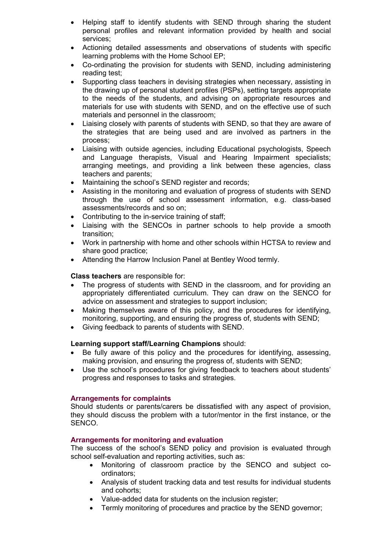- Helping staff to identify students with SEND through sharing the student personal profiles and relevant information provided by health and social services;
- Actioning detailed assessments and observations of students with specific learning problems with the Home School EP;
- Co-ordinating the provision for students with SEND, including administering reading test;
- Supporting class teachers in devising strategies when necessary, assisting in the drawing up of personal student profiles (PSPs), setting targets appropriate to the needs of the students, and advising on appropriate resources and materials for use with students with SEND, and on the effective use of such materials and personnel in the classroom;
- Liaising closely with parents of students with SEND, so that they are aware of the strategies that are being used and are involved as partners in the process;
- Liaising with outside agencies, including Educational psychologists, Speech and Language therapists, Visual and Hearing Impairment specialists; arranging meetings, and providing a link between these agencies, class teachers and parents;
- Maintaining the school's SEND register and records;
- Assisting in the monitoring and evaluation of progress of students with SEND through the use of school assessment information, e.g. class-based assessments/records and so on;
- Contributing to the in-service training of staff;
- Liaising with the SENCOs in partner schools to help provide a smooth transition;
- Work in partnership with home and other schools within HCTSA to review and share good practice;
- Attending the Harrow Inclusion Panel at Bentley Wood termly.

#### **Class teachers** are responsible for:

- The progress of students with SEND in the classroom, and for providing an appropriately differentiated curriculum. They can draw on the SENCO for advice on assessment and strategies to support inclusion;
- Making themselves aware of this policy, and the procedures for identifying, monitoring, supporting, and ensuring the progress of, students with SEND;
- Giving feedback to parents of students with SEND.

# **Learning support staff/Learning Champions** should:

- Be fully aware of this policy and the procedures for identifying, assessing, making provision, and ensuring the progress of, students with SEND;
- Use the school's procedures for giving feedback to teachers about students' progress and responses to tasks and strategies.

# **Arrangements for complaints**

Should students or parents/carers be dissatisfied with any aspect of provision, they should discuss the problem with a tutor/mentor in the first instance, or the SENCO.

# **Arrangements for monitoring and evaluation**

The success of the school's SEND policy and provision is evaluated through school self-evaluation and reporting activities, such as:

- Monitoring of classroom practice by the SENCO and subject coordinators;
- Analysis of student tracking data and test results for individual students and cohorts;
- Value-added data for students on the inclusion register;
- Termly monitoring of procedures and practice by the SEND governor;